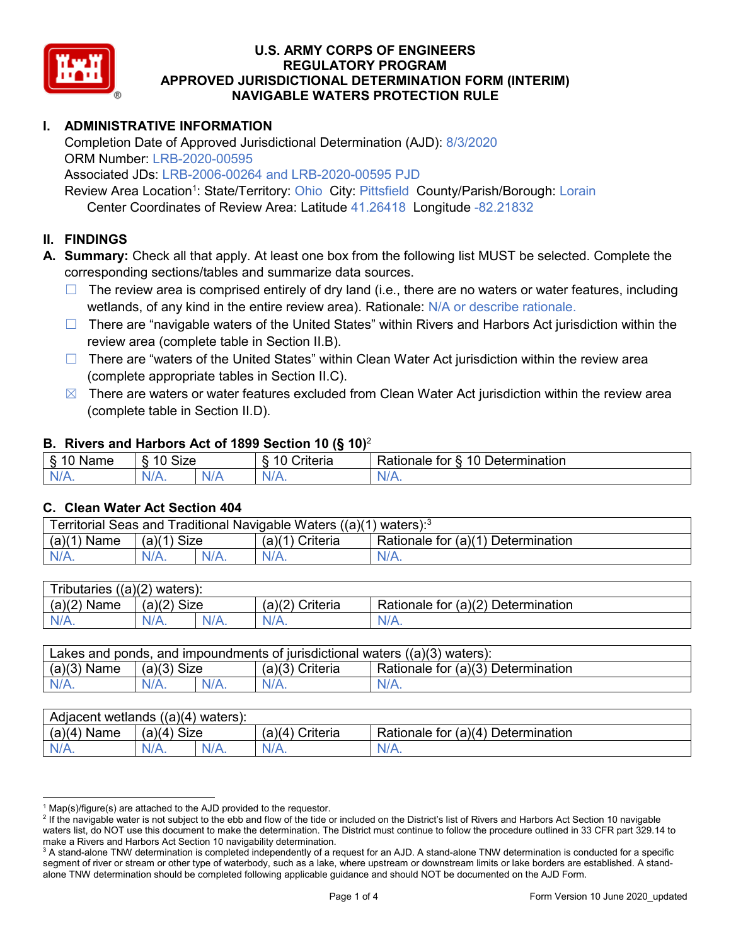

# **I. ADMINISTRATIVE INFORMATION**

Completion Date of Approved Jurisdictional Determination (AJD): 8/3/2020 ORM Number: LRB-2020-00595

Associated JDs: LRB-2006-00264 and LRB-2020-00595 PJD

Review Area Location<sup>1</sup>: State/Territory: Ohio City: Pittsfield County/Parish/Borough: Lorain Center Coordinates of Review Area: Latitude 41.26418 Longitude -82.21832

### **II. FINDINGS**

**A. Summary:** Check all that apply. At least one box from the following list MUST be selected. Complete the corresponding sections/tables and summarize data sources.

- $\Box$  The review area is comprised entirely of dry land (i.e., there are no waters or water features, including wetlands, of any kind in the entire review area). Rationale: N/A or describe rationale.
- $\Box$  There are "navigable waters of the United States" within Rivers and Harbors Act jurisdiction within the review area (complete table in Section II.B).
- $\Box$  There are "waters of the United States" within Clean Water Act jurisdiction within the review area (complete appropriate tables in Section II.C).
- $\boxtimes$  There are waters or water features excluded from Clean Water Act jurisdiction within the review area (complete table in Section II.D).

### **B. Rivers and Harbors Act of 1899 Section 10 (§ 10)**<sup>2</sup>

|                                             | $\cdot$              |    |                                                         |                                                 |  |  |
|---------------------------------------------|----------------------|----|---------------------------------------------------------|-------------------------------------------------|--|--|
| $\sim$<br>$-1$ and the set of $\sim$<br>ыше | <b>Size</b><br>10    |    | $\mathbf{r}$<br>10<br>-<br>$"$ ritaria<br><b>AILCIT</b> | Determination<br>$\sqrt{ }$<br>⊀atıonale<br>tor |  |  |
| $N/A$ .                                     | $\sim$ $\sim$<br>VA. | N/ | $N/A$ .                                                 | N.<br>$\mathbf{v}$                              |  |  |

### **C. Clean Water Act Section 404**

| Territorial Seas and Traditional Navigable Waters ((a)(1)<br>` waters): <sup>3</sup> |                |  |                    |                                    |  |
|--------------------------------------------------------------------------------------|----------------|--|--------------------|------------------------------------|--|
| (a)(1)<br>Name                                                                       | Size<br>(a)(1) |  | (a)(1)<br>Criteria | Rationale for (a)(1) Determination |  |
|                                                                                      | $N/A$ .        |  | $N/A$ .            | $N/A$ .                            |  |

| $((a)(2)$ waters):<br><b>ributaries</b> |                |         |                    |                                    |  |  |
|-----------------------------------------|----------------|---------|--------------------|------------------------------------|--|--|
| (a)(2)<br>Name                          | Size<br>(a)(2) |         | (a)(2)<br>Criteria | Rationale for (a)(2) Determination |  |  |
| $N/A$ .                                 | $N/A$ .        | $N/A$ . | $N/A$ .            | N/A.                               |  |  |

| Lakes and ponds, and impoundments of jurisdictional waters $((a)(3)$ waters): |               |  |                   |                                    |  |
|-------------------------------------------------------------------------------|---------------|--|-------------------|------------------------------------|--|
| $(a)(3)$ Name                                                                 | $(a)(3)$ Size |  | $(a)(3)$ Criteria | Rationale for (a)(3) Determination |  |
| $N/A$ .                                                                       | $N/A$ .       |  | $N/A$ .           | $N/A$ .                            |  |

| Adjacent wetlands $((a)(4)$ waters): |                       |         |                   |                                       |  |
|--------------------------------------|-----------------------|---------|-------------------|---------------------------------------|--|
| (a)(4)<br>Name                       | <b>Size</b><br>(a)(4) |         | (a)(4<br>Criteria | Rationale for (a)(4)<br>Determination |  |
| N/A.                                 | N/A.                  | $N/A$ . | $N/A$ .           | $N/A$ .                               |  |

 $1$  Map(s)/figure(s) are attached to the AJD provided to the requestor.

<sup>&</sup>lt;sup>2</sup> If the navigable water is not subject to the ebb and flow of the tide or included on the District's list of Rivers and Harbors Act Section 10 navigable waters list, do NOT use this document to make the determination. The District must continue to follow the procedure outlined in 33 CFR part 329.14 to make a Rivers and Harbors Act Section 10 navigability determination.

<sup>&</sup>lt;sup>3</sup> A stand-alone TNW determination is completed independently of a request for an AJD. A stand-alone TNW determination is conducted for a specific segment of river or stream or other type of waterbody, such as a lake, where upstream or downstream limits or lake borders are established. A standalone TNW determination should be completed following applicable guidance and should NOT be documented on the AJD Form.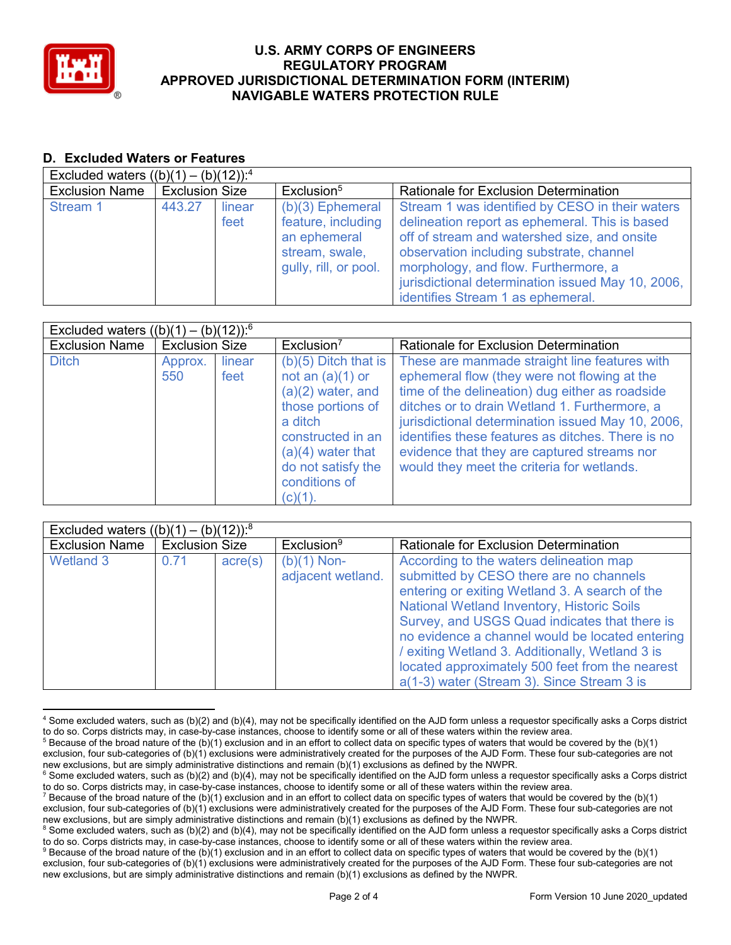

# **D. Excluded Waters or Features**

| Excluded waters $((b)(1) - (b)(12))$ : <sup>4</sup> |                       |                |                                                                                                     |                                                                                                                                                                                                                                                                                                                                 |  |
|-----------------------------------------------------|-----------------------|----------------|-----------------------------------------------------------------------------------------------------|---------------------------------------------------------------------------------------------------------------------------------------------------------------------------------------------------------------------------------------------------------------------------------------------------------------------------------|--|
| <b>Exclusion Name</b>                               | <b>Exclusion Size</b> |                | Exclusion <sup>5</sup>                                                                              | <b>Rationale for Exclusion Determination</b>                                                                                                                                                                                                                                                                                    |  |
| Stream 1                                            | 443.27                | linear<br>feet | $(b)(3)$ Ephemeral<br>feature, including<br>an ephemeral<br>stream, swale,<br>gully, rill, or pool. | Stream 1 was identified by CESO in their waters<br>delineation report as ephemeral. This is based<br>off of stream and watershed size, and onsite<br>observation including substrate, channel<br>morphology, and flow. Furthermore, a<br>jurisdictional determination issued May 10, 2006,<br>identifies Stream 1 as ephemeral. |  |

| Excluded waters $((b)(1) - (b)(12))$ : <sup>6</sup> |                       |                |                                                                                                                                                                       |                                                                                                                                                                                                                                                                                                                                                                                                          |
|-----------------------------------------------------|-----------------------|----------------|-----------------------------------------------------------------------------------------------------------------------------------------------------------------------|----------------------------------------------------------------------------------------------------------------------------------------------------------------------------------------------------------------------------------------------------------------------------------------------------------------------------------------------------------------------------------------------------------|
| <b>Exclusion Name</b>                               | <b>Exclusion Size</b> |                | Exclusion <sup>7</sup>                                                                                                                                                | Rationale for Exclusion Determination                                                                                                                                                                                                                                                                                                                                                                    |
| <b>Ditch</b>                                        | Approx.<br>550        | linear<br>feet | $(b)(5)$ Ditch that is<br>not an $(a)(1)$ or<br>$(a)(2)$ water, and<br>those portions of<br>a ditch<br>constructed in an<br>$(a)(4)$ water that<br>do not satisfy the | These are manmade straight line features with<br>ephemeral flow (they were not flowing at the<br>time of the delineation) dug either as roadside<br>ditches or to drain Wetland 1. Furthermore, a<br>jurisdictional determination issued May 10, 2006,<br>identifies these features as ditches. There is no<br>evidence that they are captured streams nor<br>would they meet the criteria for wetlands. |
|                                                     |                       |                | conditions of<br>$(c)(1)$ .                                                                                                                                           |                                                                                                                                                                                                                                                                                                                                                                                                          |

| Excluded waters $((b)(1) - (b)(12))$ : <sup>8</sup> |                       |                  |                                    |                                                                                                                                                                                                                                                                                                                                                                                                                                                   |
|-----------------------------------------------------|-----------------------|------------------|------------------------------------|---------------------------------------------------------------------------------------------------------------------------------------------------------------------------------------------------------------------------------------------------------------------------------------------------------------------------------------------------------------------------------------------------------------------------------------------------|
| <b>Exclusion Name</b>                               | <b>Exclusion Size</b> |                  | Exclusion <sup>9</sup>             | <b>Rationale for Exclusion Determination</b>                                                                                                                                                                                                                                                                                                                                                                                                      |
| Wetland 3                                           | 0.71                  | $\text{acre}(s)$ | $(b)(1)$ Non-<br>adjacent wetland. | According to the waters delineation map<br>submitted by CESO there are no channels<br>entering or exiting Wetland 3. A search of the<br><b>National Wetland Inventory, Historic Soils</b><br>Survey, and USGS Quad indicates that there is<br>no evidence a channel would be located entering<br>/ exiting Wetland 3. Additionally, Wetland 3 is<br>located approximately 500 feet from the nearest<br>a(1-3) water (Stream 3). Since Stream 3 is |

 <sup>4</sup> Some excluded waters, such as (b)(2) and (b)(4), may not be specifically identified on the AJD form unless a requestor specifically asks a Corps district to do so. Corps districts may, in case-by-case instances, choose to identify some or all of these waters within the review area.

 $5$  Because of the broad nature of the (b)(1) exclusion and in an effort to collect data on specific types of waters that would be covered by the (b)(1) exclusion, four sub-categories of (b)(1) exclusions were administratively created for the purposes of the AJD Form. These four sub-categories are not

new exclusions, but are simply administrative distinctions and remain (b)(1) exclusions as defined by the NWPR.  $^6$  Some excluded waters, such as (b)(2) and (b)(4), may not be specifically identified on the AJD form unless a requestor specifically asks a Corps district

to do so. Corps districts may, in case-by-case instances, choose to identify some or all of these waters within the review area.

<sup>7</sup> Because of the broad nature of the (b)(1) exclusion and in an effort to collect data on specific types of waters that would be covered by the (b)(1) exclusion, four sub-categories of (b)(1) exclusions were administratively created for the purposes of the AJD Form. These four sub-categories are not new exclusions, but are simply administrative distinctions and remain (b)(1) exclusions as defined by the NWPR.

<sup>&</sup>lt;sup>8</sup> Some excluded waters, such as (b)(2) and (b)(4), may not be specifically identified on the AJD form unless a requestor specifically asks a Corps district to do so. Corps districts may, in case-by-case instances, choose to identify some or all of these waters within the review area.

<sup>9</sup> Because of the broad nature of the (b)(1) exclusion and in an effort to collect data on specific types of waters that would be covered by the (b)(1) exclusion, four sub-categories of (b)(1) exclusions were administratively created for the purposes of the AJD Form. These four sub-categories are not new exclusions, but are simply administrative distinctions and remain (b)(1) exclusions as defined by the NWPR.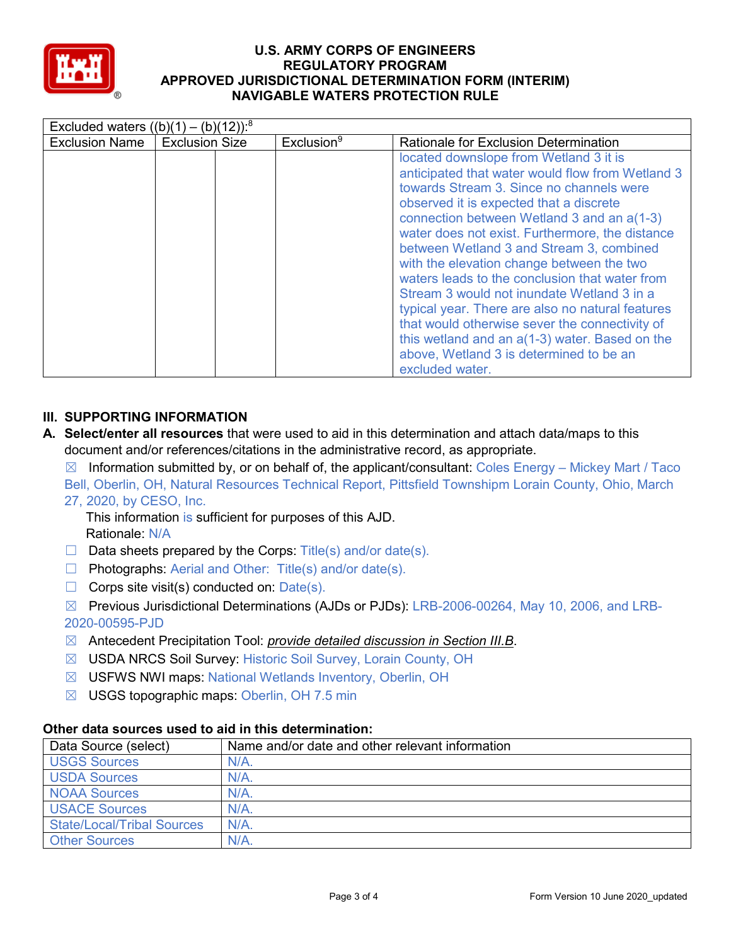

| Excluded waters $((b)(1) - (b)(12))$ : <sup>8</sup> |                       |                        |                                                                                                                                                                                                                                                                                                                                                                                                                                                                                                                                                                                                                                                                                                     |  |
|-----------------------------------------------------|-----------------------|------------------------|-----------------------------------------------------------------------------------------------------------------------------------------------------------------------------------------------------------------------------------------------------------------------------------------------------------------------------------------------------------------------------------------------------------------------------------------------------------------------------------------------------------------------------------------------------------------------------------------------------------------------------------------------------------------------------------------------------|--|
| <b>Exclusion Name</b>                               | <b>Exclusion Size</b> | Exclusion <sup>9</sup> | <b>Rationale for Exclusion Determination</b>                                                                                                                                                                                                                                                                                                                                                                                                                                                                                                                                                                                                                                                        |  |
|                                                     |                       |                        | located downslope from Wetland 3 it is<br>anticipated that water would flow from Wetland 3<br>towards Stream 3. Since no channels were<br>observed it is expected that a discrete<br>connection between Wetland 3 and an a(1-3)<br>water does not exist. Furthermore, the distance<br>between Wetland 3 and Stream 3, combined<br>with the elevation change between the two<br>waters leads to the conclusion that water from<br>Stream 3 would not inundate Wetland 3 in a<br>typical year. There are also no natural features<br>that would otherwise sever the connectivity of<br>this wetland and an $a(1-3)$ water. Based on the<br>above, Wetland 3 is determined to be an<br>excluded water. |  |

# **III. SUPPORTING INFORMATION**

**A. Select/enter all resources** that were used to aid in this determination and attach data/maps to this document and/or references/citations in the administrative record, as appropriate.

 $\boxtimes$  Information submitted by, or on behalf of, the applicant/consultant: Coles Energy – Mickey Mart / Taco Bell, Oberlin, OH, Natural Resources Technical Report, Pittsfield Townshipm Lorain County, Ohio, March 27, 2020, by CESO, Inc.

This information is sufficient for purposes of this AJD. Rationale: N/A

- $\Box$  Data sheets prepared by the Corps: Title(s) and/or date(s).
- ☐ Photographs: Aerial and Other: Title(s) and/or date(s).
- $\Box$  Corps site visit(s) conducted on: Date(s).

☒ Previous Jurisdictional Determinations (AJDs or PJDs): LRB-2006-00264, May 10, 2006, and LRB-2020-00595-PJD

- ☒ Antecedent Precipitation Tool: *provide detailed discussion in Section III.B*.
- ☒ USDA NRCS Soil Survey: Historic Soil Survey, Lorain County, OH
- ☒ USFWS NWI maps: National Wetlands Inventory, Oberlin, OH
- ☒ USGS topographic maps: Oberlin, OH 7.5 min

# **Other data sources used to aid in this determination:**

| Data Source (select)              | Name and/or date and other relevant information |
|-----------------------------------|-------------------------------------------------|
| <b>USGS Sources</b>               | N/A                                             |
| <b>USDA Sources</b>               | N/A                                             |
| <b>NOAA Sources</b>               | $N/A$ .                                         |
| <b>USACE Sources</b>              | $N/A$ .                                         |
| <b>State/Local/Tribal Sources</b> | N/A                                             |
| <b>Other Sources</b>              | N/A                                             |